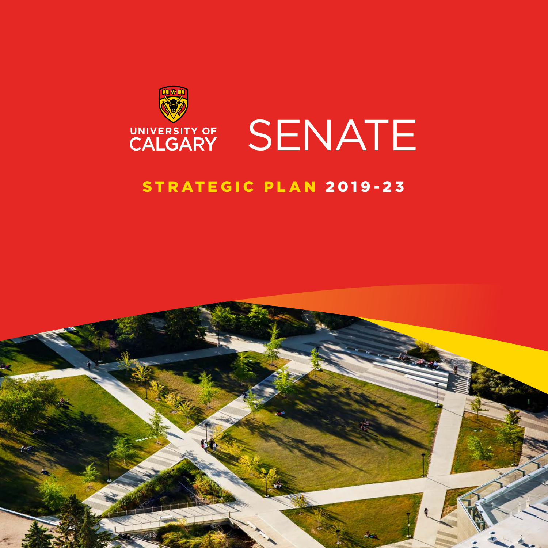

# STRATEGIC PLAN 2019-23

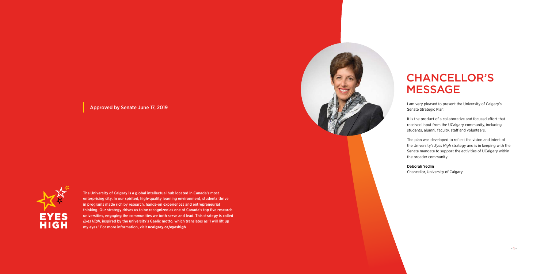



The University of Calgary is a global intellectual hub located in Canada's most enterprising city. In our spirited, high-quality learning environment, students thrive in programs made rich by research, hands-on experiences and entrepreneurial thinking. Our strategy drives us to be recognized as one of Canada's top five research universities, engaging the communities we both serve and lead. This strategy is called *Eyes High*, inspired by the university's Gaelic motto, which translates as 'I will lift up my eyes.' For more information, visit **[ucalgary.ca/eyeshigh](http://ucalgary.ca/eyeshigh)**

I am very pleased to present the University of Calgary's Senate Strategic Plan!

It is the product of a collaborative and focused effort that received input from the UCalgary community, including students, alumni, faculty, staff and volunteers.

The plan was developed to reflect the vision and intent of the University's *Eyes High* strategy and is in keeping with the Senate mandate to support the activities of UCalgary within the broader community.

### Deborah Yedlin

Chancellor, University of Calgary

# CHANCELLOR'S MESSAGE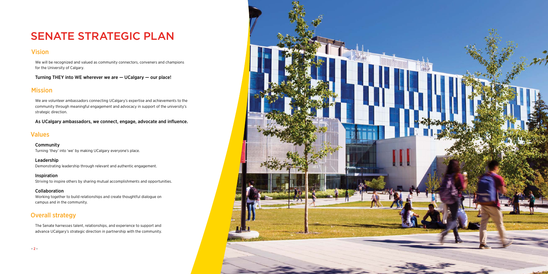# SENATE STRATEGIC PLAN

# Vision

We will be recognized and valued as community connectors, conveners and champions for the University of Calgary.

Turning THEY into WE wherever we are — UCalgary — our place!

## **Mission**

We are volunteer ambassadors connecting UCalgary's expertise and achievements to the community through meaningful engagement and advocacy in support of the university's strategic direction.

As UCalgary ambassadors, we connect, engage, advocate and influence.

## Values

Community Turning 'they' into 'we' by making UCalgary everyone's place.

Leadership Demonstrating leadership through relevant and authentic engagement.

Inspiration Striving to inspire others by sharing mutual accomplishments and opportunities.

# Collaboration

Working together to build relationships and create thoughtful dialogue on campus and in the community.

# Overall strategy

The Senate harnesses talent, relationships, and experience to support and advance UCalgary's strategic direction in partnership with the community.

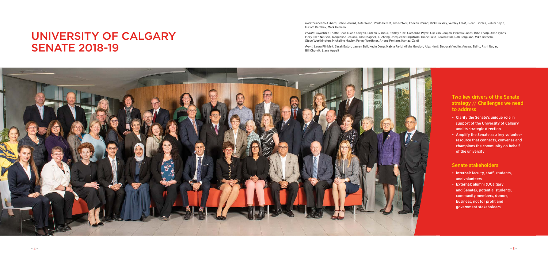## Two key drivers of the Senate strategy // Challenges we need to address

- **•** Clarify the Senate's unique role in support of the University of Calgary and its strategic direction
- **•** Amplify the Senate as a key volunteer resource that connects, convenes and champions the community on behalf of the university

## Senate stakeholders

- **• Internal:** faculty, staff, students, and volunteers
- **• External:** alumni (UCalgary and Senate), potential students, community members, donors, business, not for profit and government stakeholders

# UNIVERSITY OF CALGARY SENATE 2018-19

*Back:* Vincenzo Aliberti, John Howard, Kate Wood, Paula Bernat, Jim McNeil, Colleen Pound, Rick Buckley, Wesley Ernst, Glenn Tibbles, Rahim Sajan, Miriam Berchuk, Mark Herman

*Middle:* Jayashree Thatte Bhat, Diane Kenyon, Loreen Gilmour, Shirley Kine, Catherine Pryce, Gijs van Rooijen, Marcela Lopes, Biba Tharp, Allan Lyons, Mary Ellen Neilson, Jacqueline Jenkins, Tim Meagher, TJ Zhang, Jacqueline Engstrom, Diane Field, Lawna Hurl, Rob Ferguson, Mike Barbero, Steve Worthington, Micheline Maylor, Penny Werthner, Arlene Ponting, Kamaal Zaidi

*Front:* Laura Flinkfelt, Sarah Eaton, Lauren Bell, Kevin Dang, Nabila Farid, Alisha Gordon, Alyx Nanji, Deborah Yedlin, Anayat Sidhu, Rishi Nagar, Bill Chomik, Liana Appelt

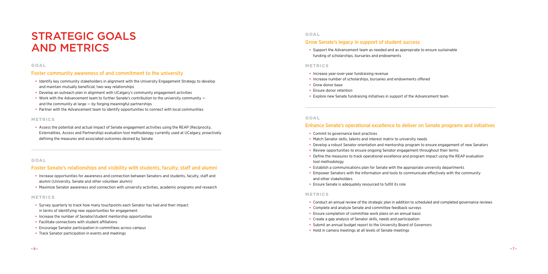# STRATEGIC GOALS AND METRICS

#### GOAL

### Foster community awareness of and commitment to the university

- **•** Identify key community stakeholders in alignment with the University Engagement Strategy to develop and maintain mutually beneficial, two-way relationships
- **•** Develop an outreach plan in alignment with UCalgary's community engagement activities
- **•** Work with the Advancement team to further Senate's contribution to the university community and the community at large — by forging meaningful partnerships
- **•** Partner with the Advancement team to identify opportunities to connect with local communities

#### METRICS

**•** Assess the potential and actual impact of Senate engagement activities using the REAP (Reciprocity, Externalities, Access and Partnership) evaluation tool methodology currently used at UCalgary, proactively defining the measures and associated outcomes desired by Senate

### GOAL

### Foster Senate's relationships and visibility with students, faculty, staff and alumni

- **•** Increase opportunities for awareness and connection between Senators and students, faculty, staff and alumni (University, Senate and other volunteer alumni)
- **•** Maximize Senator awareness and connection with university activities, academic programs and research

#### METRICS

- **•** Survey quarterly to track how many touchpoints each Senator has had and their impact in terms of identifying new opportunities for engagement
- **•** Increase the number of Senator/student mentorship opportunities
- **•** Facilitate connections with student affiliations
- **•** Encourage Senator participation in committees across campus
- **•** Track Senator participation in events and meetings

### GOAL

### Grow Senate's legacy in support of student success

**•** Support the Advancement team as needed and as appropriate to ensure sustainable funding of scholarships, bursaries and endowments

#### **METRICS**

- **•** Increase year-over-year fundraising revenue
- **•** Increase number of scholarships, bursaries and endowments offered
- **•** Grow donor base
- **•** Ensure donor retention
- **•** Explore new Senate fundraising initiatives in support of the Advancement team

#### GOAL

## Enhance Senate's operational excellence to deliver on Senate programs and initiatives

- **•** Commit to governance best practices
- **•** Match Senator skills, talents and interest matrix to university needs
- **•** Develop a robust Senator orientation and mentorship program to ensure engagement of new Senators
- **•** Review opportunities to ensure ongoing Senator engagement throughout their terms
- **•** Define the measures to track operational excellence and program impact using the REAP evaluation tool methodology
- **•** Establish a communications plan for Senate with the appropriate university departments
- and other stakeholders
- **•** Ensure Senate is adequately resourced to fulfill its role

**•** Empower Senators with the information and tools to communicate effectively with the community

#### METRICS

**•** Conduct an annual review of the strategic plan in addition to scheduled and completed governance reviews

- 
- **•** Complete and analyze Senate and committee feedback surveys
- **•** Ensure completion of committee work plans on an annual basis
- **•** Create a gap analysis of Senator skills, needs and participation
- **•** Submit an annual budget report to the University Board of Governors
- **•** Hold in camera meetings at all levels of Senate meetings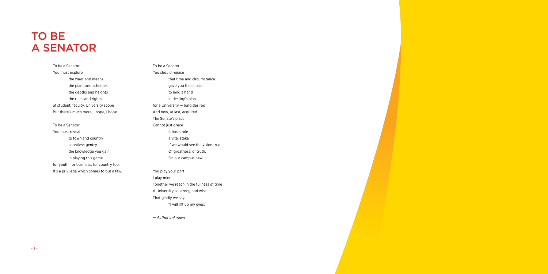To be a Senator You must explore the ways and means the plans and schemes the depths and heights the rules and rights of student, faculty, University scope But there's much more, I hope, I hope.

## To be a Senator You must reveal to town and country countless gentry the knowledge you gain in playing this game for youth, for business, for country too, It's a privilege which comes to but a few.

To be a Senator You should rejoice that time and circumstance gave you the choice to lend a hand in destiny's plan for a University — long desired And now, at last, acquired. The Senate's place Cannot just grace it has a role a vital stake If we would see the vision true Of greatness, of truth, On our campus new.

You play your part I play mine Together we reach in the fullness of time A University so strong and wise That gladly we say "I will lift up my eyes."

*— Author unknown*

# TO BE A SENATOR